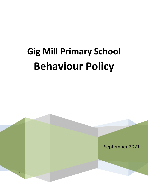# **Gig Mill Primary School Behaviour Policy**

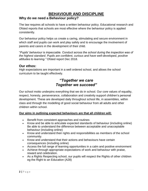# **BEHAVIOUR AND DISCIPLINE**

## **Why do we need a Behaviour policy?**

The law requires all schools to have a written behaviour policy. Educational research and Ofsted reports that schools are most effective where the behaviour policy is applied consistently.

Our behaviour policy helps us create a caring, stimulating and secure environment in which staff and pupils can work and play safely and to encourage the involvement of parents and carers in the development of their child.

"*Pupils' behaviour is impeccable. Conduct across the school during the inspection was of the highest standard. Pupils are confident, curious and have well-developed, positive attitudes to learning."* Ofsted report Dec 2018.

### **Our ethos:**

High expectations are important in a well ordered school, and allows the school curriculum to be taught effectively.

# *"Together we care Together we succeed"*

Our school motto underpins everything that we do in school. Our core values of equality, respect, honesty, perseverance, collaboration and creativity support children's personal development. These are developed daily throughout school life, in assemblies, within class and through the modelling of good social behaviour from all adults and other children within school.

#### **Our aims in outlining expected behaviours are that all children will:**

- Benefit from consistent approaches and routines
- Know and be able to articulate expected standards of behaviour (including online) Be able to understand the difference between acceptable and unacceptable behaviour (including online)
- Know and understand their rights and responsibilities as members of the school community.
- Know and understand that their actions and behaviours have certain consequences (including online)
- Access the full range of learning opportunities in a calm and positive environment
- Achieve through appropriate expectations of work and behaviour with praise, reward and celebration.
- As a Rights Respecting school, our pupils will respect the Rights of other children eg the Right to an Education (A28)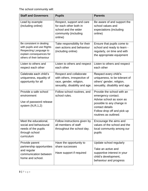The school community will:

| <b>Staff and Governors</b>                                                                                                                | <b>Pupils</b>                                                                                                        | <b>Parents</b>                                                                                                                                                                       |
|-------------------------------------------------------------------------------------------------------------------------------------------|----------------------------------------------------------------------------------------------------------------------|--------------------------------------------------------------------------------------------------------------------------------------------------------------------------------------|
| Lead by example<br>(including online)                                                                                                     | Respect, support and care<br>for each other both in<br>school and the wider<br>community (including<br>online)       | Be aware of and support the<br>school values and<br>expectations (including<br>online)                                                                                               |
| Be consistent in dealing<br>with pupils and use Rights<br>Respecting Language to<br>explain consequences for<br>others of their behaviour | Take responsibility for their<br>own actions and behaviour<br>(including online)                                     | Ensure that pupils come to<br>school and ready to learn -<br>regularly, on time and with<br>the appropriate equipment                                                                |
| Listen to others and<br>respect each other                                                                                                | Listen to others and respect<br>each other                                                                           | Listen to others and respect<br>each other                                                                                                                                           |
| Celebrate each child's<br>uniqueness, equality of<br>opportunity for all                                                                  | Respect and collaborate<br>with others, irrespective of<br>race, gender, religion,<br>sexuality, disability and age. | Respect every child's<br>uniqueness, to be tolerant of<br>others' gender, religion,<br>sexuality, disability and age.                                                                |
| Provide a safe school<br>environment<br>Use of password release<br>system $(N, R, 1, 2)$                                                  | Follow school routines, and<br>school rules.                                                                         | Provide the school with an<br>emergency contact.<br>Advise school as soon as<br>possible to any change in<br>contact details<br>Follow drop off and pick up<br>routines as outlined. |
| Meet the educational,<br>social and behavioural<br>needs of the pupils<br>through school<br>curriculum                                    | Follow instructions given by $ $ Encourage the aims and<br>all members of staff<br>throughout the school day.        | values of the school and the<br>local community among our<br>pupils                                                                                                                  |
| Provide parent<br>partnership opportunities<br>and regular<br>communication between<br>home and school.                                   | Have the opportunity to<br>share successes<br>Have support if required                                               | Update school regularly<br>Take an active and<br>supportive interest in your<br>child's development,<br>behaviour and progress                                                       |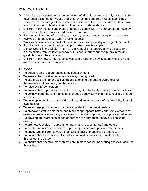Within Gig Mill school:

- ➢ All adults are responsible for the behaviour of **all** children and not only those that they have been assigned to. Adults and children act as good role models at all times.
- $\triangleright$  Children are encouraged to become self-disciplined, to be responsible for their own actions, in order to develop their confidence and independence.
- $\triangleright$  Children know the consequences of negative behaviour. They understand that they can improve their behaviour and make a new start.
- ➢ Parents are informed of school expectations, rewards and consequences and are involved at an early stage when problems occur.
- $\triangleright$  Work within classrooms must take account of individual ability and age of the pupil.
- ➢ Poor behaviour is monitored, and appropriate strategies applied.
- ➢ School Council, and Circle Time/PSHE give pupils the opportunity to discuss any issues arising from children's behaviour, Class Charters support pupils in making good choices in their behaviour.
- $\triangleright$  Children know how to keep themselves safe online and how to identify online risks and how / when to seek support

## **Purpose:**

- To create a safe, secure educational establishment
- To ensure that positive behaviour is always recognised
- To use praise and other positive means to extend the pupil's awareness of themselves and promote good behaviour.
- To raise pupils' self esteem
- To ensure that pupils are confident in their right to be treated fairly (including online)
- To acknowledge that the maintaining of good behaviour within the school is a shared responsibility.
- To develop in pupils a sense of discipline and an acceptance of responsibility for their own actions.
- To encourage pupils to become more confident in their relationships.
- To empower staff to determine and request appropriate behaviour from everyone to ensure a productive learning environment where all pupils achieve positive outcomes
- To develop an awareness of and adherence to appropriate behaviour (including online)
- To promote /develop in pupils an empathy and respect for self and others.
- To create an environment where pupils are provided with positive role models.
- To encourage children to value their school environment and its routines.
- To ensure that the policy is fully understood and is consistently implemented throughout the school.
- To ensure that effective mechanisms are in place for the monitoring and evaluation of this policy.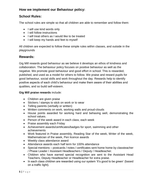## **How we implement our Behaviour policy:**

## **School Rules:**

The school rules are simple so that all children are able to remember and follow them:

- I will use kind words only
- I will follow instructions
- I will treat others as I would like to be treated
- I will keep my hands and feet to myself

All children are expected to follow these simple rules within classes, and outside in the playgrounds

## **Rewards:**

Gig Mill rewards good behaviour as we believe it develops an ethos of kindness and collaboration. The behaviour policy focuses on positive behaviour as well as the negative. We promote good behaviour and good effort in school. This is rewarded, published, and used as a model for others to follow. We praise and reward pupils for good behaviour, social skills and work throughout the day. Rewards help to identify positive aspects of each child's behaviour and make them aware of their abilities and qualities, and so build self-esteem.

#### **Gig Mill praise rewards** include:

- Children are given praise
- Stickers / stamps to stick on work or to wear
- Telling parents (verbally or written)
- Written comments on work, working walls and proud-clouds
- House points awarded for working hard and behaving well, demonstrating the school values.
- Person of the week award in each class, each week
- Praise assembly each Friday
- Achievement awards/certificates/badges for sport, swimming and other achievements
- Work featured in Praise assembly, Reading Star of the week, Writer of the week, Mathematician of the week, Pen licence awards
- Weekly class attendance award
- Attendance awards each half term for 100% attendance
- Special mentions postcards / notes / certificates sent home home by classteacher / Phase Leader / Assistant Headteachers / Deputy / Headteacher.
- Children who have earned special recognition are sent to the Assistant Head Teachers, Deputy Headteacher or Headteacher for extra praise.
- In each class children are rewarded using our system 'It's good to be green' (based on a traffic light).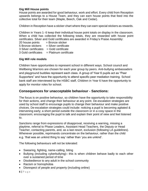#### **Gig Mill House points**

House points are awarded for good behaviour, work and effort. Every child from Reception upwards belongs to a House Team, and they can earn house points that feed into the collective total for their team (Maple, Beech, Oak and Cedar).

Children in Reception have a sticker chart where they can earn special stickers as rewards.

Children in Years 1- 6 keep their individual house point totals on display in the classroom. When a child has collected the following totals, they are rewarded with house point certificates. Silver and Gold certificates are awarded in Friday's Praise Assembly:

 $20$  house points  $=$  Bronze sticker

 $5$  Bronze stickers  $=$  Silver certificate

 $3$  Silver certificates  $=$  Gold certificate

 $3$  Gold certificates  $=$  Platinum certificate

#### **Gig Mill role models**

Children have opportunities to represent school in different ways. School council and Wellbeing Warriors are chosen for each year group by peers. Anti-bullying ambassadors and playground buddies represent each class. A group of Year 6 pupils act as "Peer Supporters" and have the opportunity to attend specific peer mediation training. School bank staff are interviewed by the HSBC staff, Children in Year 6 have the opportunity to apply for monitor roles for school.

## **Consequences for unacceptable behaviour - Sanctions:**

The focus is on positive behaviour, so children have the opportunity to take responsibility for their actions, and change their behaviour at any point. De-escalation strategies are used by school staff to encourage pupils to change their behaviour and make positive choices. De-escalation strategies could include: noticing a pupil is becoming agitated & intervening early; a short period outside the classroom or in a cosy space in the classroom; encouraging the pupil to talk and explain their point of view and feel listened to.

Sanctions range from expressions of disapproval, receiving a warning, missing a playtime, referral to Phase Leaders, Assistant Head Teachers, the Deputy or Head Teacher, contacting parents, and, as a last resort, exclusion (following LA guidelines). Whenever possible, reprimands concentrate on the behaviour, rather than the child e.g. 'that was an unkind thing to say' rather than 'you are unkind'.

The following behaviours will not be tolerated:

- Swearing, fighting, name-calling, biting
- Bullying (including cyberbullying)– this is when children behave badly to each other over a sustained period of time
- Disobedience to any adult in the school community
- Racism or homophobia
- Disrespect of people and property (including online)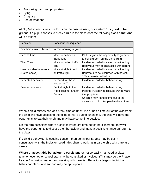- Answering back inappropriately
- Lying
- Drug use
- Use of weapons

At Gig Mill in each class, we focus on the positive using our system **'It's good to be green'**, if a pupil chooses to break a rule in the classroom the following **class sanctions** will be taken:

| <b>Behaviour</b>            | Sanction/Consequence                     |                                                                                      |
|-----------------------------|------------------------------------------|--------------------------------------------------------------------------------------|
| First time a rule is broken | Verbal warning is given.                 |                                                                                      |
| Second time                 | Move to amber on<br>traffic light.       | Child is given the opportunity to go back<br>to being green (on the traffic light)   |
| <b>Third Time</b>           | Move to red on traffic<br>light.         | Incident recorded in class behaviour log.<br>Behaviour may be discussed with parent. |
| Unacceptable behaviour      | Move straight to red                     | Incident recorded in class behaviour log.                                            |
| (Listed above)              | on traffic light.                        | Behaviour to be discussed with parent.                                               |
|                             |                                          | * May be referred below                                                              |
| Repeated behaviour          | <b>Referred to Phase</b><br>leader / SLT | Incident recorded in behaviour log.                                                  |
| Severe behaviour            | Sent straight to the                     | Incident recorded in behaviour log.                                                  |
|                             | Head Teacher and/or                      | Parents invited in to discuss way forward                                            |
|                             | Deputy                                   | if appropriate.                                                                      |
|                             |                                          | Children may require time out of the                                                 |
|                             |                                          | classroom or to miss playtime/lunchtime.                                             |

When a child misses part of a break time or lunchtime or has a time out of the classroom, the child will have access to the toilet. If this is during lunchtime, the child will have the opportunity to eat their lunch and may have some time outside.

On the rare occasions where a child may require time out of the classroom, they will have the opportunity to discuss their behaviour and make a positive change on return to the class.

If a child's behaviour is causing concern then behaviour targets may be set in consultation with the Inclusion Lead– this chart is working in partnership with parents / carers.

**Where unacceptable behaviour is persistent**, or not so easily managed at class teacher level, other school staff may be consulted or involved. (This may be the Phase Leader / Inclusion Leader, and working with parents). Behaviour targets, individual behaviour plans, and support may be appropriate.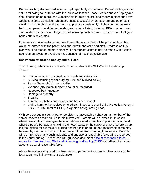**Behaviour targets** are used when a pupil repeatedly misbehaves. Behaviour targets are set up following consultation with the Inclusion leader / Phase Leader and /or Deputy and should focus on no more than 3 achievable targets and are ideally only in place for a few weeks at a time. Behaviour targets are most successful when teachers and other staff working with the child put the targets into practice consistently. Behaviour targets work best when parents work in partnership, and when all staff, including PPA or other cover staff, update the behaviour target record following each session. It is important that good behaviour is celebrated.

If behaviour continues to be an issue then a Behaviour Plan will be put into place that would be agreed with the parent and shared with the child and staff. Progress on this plan would be monitored more closely. If appropriate contact may be made with outside agencies eg. Sycamore Outreach & Educational Psychology Service

#### **Behaviours referred to Deputy and/or Head**

The following behaviours are referred to a member of the SLT (Senior Leadership Team):

- Any behaviours that constitute a health and safety risk
- Bullying including cyber bullying (See anti-bullying policy)
- Racist / homophobic name-calling
- Violence (any violent incident should be recorded)
- Repeated bad language
- Damage to property
- Stealing
- Threatening behaviour towards another child or adult
- Online harm to themselves or to others (linked to Gig Mill Child Protection Policy & KCSIE 2019) –refer to DSL (Designated Safeguarding Lead)

With very serious misbehaviour or persistent unacceptable behaviour, a member of the senior leadership team will be formally involved. Parents will be invited in. In cases where de-escalation strategies have not de-escalated examples of poor behaviour and where a pupil's behaviour is risking their own safety or the safety of others (where a pupil maybe fighting for example or hurting another child or adult) then reasonable force may be used by staff to restrain a child or prevent them from harming themselves. Parents will be informed of any such incidents and any use of reasonable force will be recorded in the behaviour log. Please see DfE guidance document ["Use of reasonable force –](https://www.gov.uk/government/uploads/system/uploads/attachment_data/file/444051/Use_of_reasonable_force_advice_Reviewed_July_2015.pdf) [advice for Headteachers, Staff and Governing Bodies July 2013"](https://www.gov.uk/government/uploads/system/uploads/attachment_data/file/444051/Use_of_reasonable_force_advice_Reviewed_July_2015.pdf) for further information about the use of reasonable force.

Above behaviours may lead to a fixed term or permanent exclusion. (This is always the last resort, and in line with DfE guidance).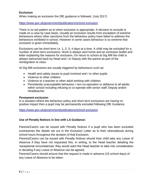#### **Exclusion**

When making an exclusion the DfE guidance is followed. (July 2017)

#### <https://www.gov.uk/government/publications/school-exclusion>

There is no set pattern as to when exclusion is appropriate. A decision to exclude is made on a case by case basis. Usually an exclusion results from escalation of extreme behaviours where other sanctions from the behaviour policy have failed to address the behaviours exhibited in school. However in some cases behaviour is so extreme that exclusion is given immediately.

Exclusions can be short term i.e. 1, 2, 3, 4 days at a time. A child may be excluded for a number of short term exclusions. Work is always sent home and an exclusion leaflet and letter explaining the reasons for exclusion. On return to school at Gig Mill the child is always welcomed back by Head and / or Deputy with the parent as part of the reintegration to class.

At Gig Mill exclusions are usually triggered by behaviours such as:

- Health and safety issues to pupil involved and / or other pupils
- Violence to other children
- Violence to a teacher or other adult working with children
- Persistently unacceptable behaviour / non-co-operation or defiance to all adults within school including refusing to co-operate with senior staff, Deputy and/or Headteacher.

#### **Permanent exclusion**

In a situation where the behaviour policy and short term exclusions are having no positive impact then a pupil may be permanently excluded following DfE Guidance

<https://www.gov.uk/government/publications/school-exclusion>

#### **Use of Penalty Notices in line with LA Guidance:**

Parents/Carers can be issued with Penalty Notices if a pupil who has been excluded contravenes the details set out in the Exclusion Letter as to their whereabouts during school hours throughout the duration of that Exclusion.

Parents/Carers can be issued with Penalty Notices should their child take any Leave of Absence if they have not requested this, in writing, to the Head teacher detailing the 'exceptional circumstances' they would want the Head teacher to take into consideration in deciding if any Leave of Absence can be agreed.

Parents/Carers should ensure that the request is made in advance (15 school days) of any Leave of Absence to be taken.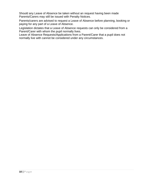Should any Leave of Absence be taken without an request having been made Parents/Carers may still be issued with Penalty Notices.

Parents/carers are advised to request a Leave of Absence before planning, booking or paying for any part of a Leave of Absence.

Legislation dictates that a Leave of Absence requests can only be considered from a Parent/Carer with whom the pupil normally lives.

Leave of Absence Requests/Applications from a Parent/Carer that a pupil does not normally live with cannot be considered under any circumstances.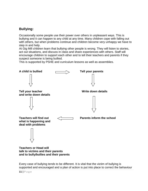## **Bullying:**

Occasionally some people use their power over others in unpleasant ways. This is bullying and it can happen to any child at any time. Many children cope with falling out with others, but when problems continue and children become very unhappy we have to step in and help.

At Gig Mill children learn that bullying other people is wrong. They will listen to stories, act out situations, and discuss in class and share experiences with others. Staff will encourage children to support each other and to tell their teachers and parents if they suspect someone is being bullied.

This is supported by PSHE and curriculum lessons as well as assemblies.



Every case of bullying tends to be different. It is vital that the victim of bullying is supported and encouraged and a plan of action is put into place to correct the behaviour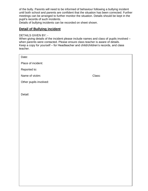of the bully. Parents will need to be informed of behaviour following a bullying incident until both school and parents are confident that the situation has been corrected. Further meetings can be arranged to further monitor the situation. Details should be kept in the pupil's records of such incidents.

Details of bullying incidents can be recorded on sheet shown.

## **Detail of Bullying incident**

#### DETAILS GIVEN BY: -

**12 |** P a g e

When giving details of the incident please include names and class of pupils involved – when parents were contacted. Please ensure class teacher is aware of details. Keep a copy for yourself – for Headteacher and child/children's records, and class teacher.

| Date:                     |  |
|---------------------------|--|
| Place of incident:        |  |
| Reported to:              |  |
| Name of victim:<br>Class: |  |
| Other pupils involved:    |  |
|                           |  |
| Detail:                   |  |
|                           |  |
|                           |  |
|                           |  |
|                           |  |
|                           |  |
|                           |  |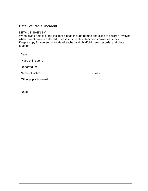## **Detail of Racial incident**

#### DETAILS GIVEN BY: -

When giving details of the incident please include names and class of children involved – when parents were contacted. Please ensure class teacher is aware of details. Keep a copy for yourself – for Headteacher and child/children's records, and class teacher.

| Date:                  |        |
|------------------------|--------|
| Place of incident:     |        |
| Reported to:           |        |
| Name of victim:        | Class: |
| Other pupils involved: |        |
|                        |        |
| Detail:                |        |
|                        |        |
|                        |        |
|                        |        |
|                        |        |
|                        |        |
|                        |        |
|                        |        |
|                        |        |
|                        |        |
|                        |        |
|                        |        |
|                        |        |
|                        |        |